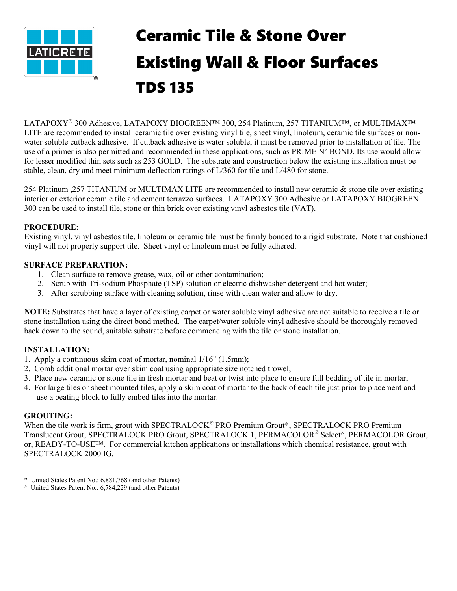

# Ceramic Tile & Stone Over Existing Wall & Floor Surfaces TDS 135

LATAPOXY<sup>®</sup> 300 Adhesive, LATAPOXY BIOGREEN™ 300, 254 Platinum, 257 TITANIUM™, or MULTIMAX™ LITE are recommended to install ceramic tile over existing vinyl tile, sheet vinyl, linoleum, ceramic tile surfaces or nonwater soluble cutback adhesive. If cutback adhesive is water soluble, it must be removed prior to installation of tile. The use of a primer is also permitted and recommended in these applications, such as PRIME N' BOND. Its use would allow for lesser modified thin sets such as 253 GOLD. The substrate and construction below the existing installation must be stable, clean, dry and meet minimum deflection ratings of L/360 for tile and L/480 for stone.

254 Platinum ,257 TITANIUM or MULTIMAX LITE are recommended to install new ceramic & stone tile over existing interior or exterior ceramic tile and cement terrazzo surfaces. LATAPOXY 300 Adhesive or LATAPOXY BIOGREEN 300 can be used to install tile, stone or thin brick over existing vinyl asbestos tile (VAT).

### **PROCEDURE:**

Existing vinyl, vinyl asbestos tile, linoleum or ceramic tile must be firmly bonded to a rigid substrate. Note that cushioned vinyl will not properly support tile. Sheet vinyl or linoleum must be fully adhered.

### **SURFACE PREPARATION:**

- 1. Clean surface to remove grease, wax, oil or other contamination;
- 2. Scrub with Tri-sodium Phosphate (TSP) solution or electric dishwasher detergent and hot water;
- 3. After scrubbing surface with cleaning solution, rinse with clean water and allow to dry.

**NOTE:** Substrates that have a layer of existing carpet or water soluble vinyl adhesive are not suitable to receive a tile or stone installation using the direct bond method. The carpet/water soluble vinyl adhesive should be thoroughly removed back down to the sound, suitable substrate before commencing with the tile or stone installation.

## **INSTALLATION:**

- 1. Apply a continuous skim coat of mortar, nominal 1/16" (1.5mm);
- 2. Comb additional mortar over skim coat using appropriate size notched trowel;
- 3. Place new ceramic or stone tile in fresh mortar and beat or twist into place to ensure full bedding of tile in mortar;
- 4. For large tiles or sheet mounted tiles, apply a skim coat of mortar to the back of each tile just prior to placement and use a beating block to fully embed tiles into the mortar.

#### **GROUTING:**

When the tile work is firm, grout with SPECTRALOCK® PRO Premium Grout\*, SPECTRALOCK PRO Premium Translucent Grout, SPECTRALOCK PRO Grout, SPECTRALOCK 1, PERMACOLOR® Select^, PERMACOLOR Grout, or, READY-TO-USE™. For commercial kitchen applications or installations which chemical resistance, grout with SPECTRALOCK 2000 IG.

- \* United States Patent No.: 6,881,768 (and other Patents)
- ^ United States Patent No.: 6,784,229 (and other Patents)